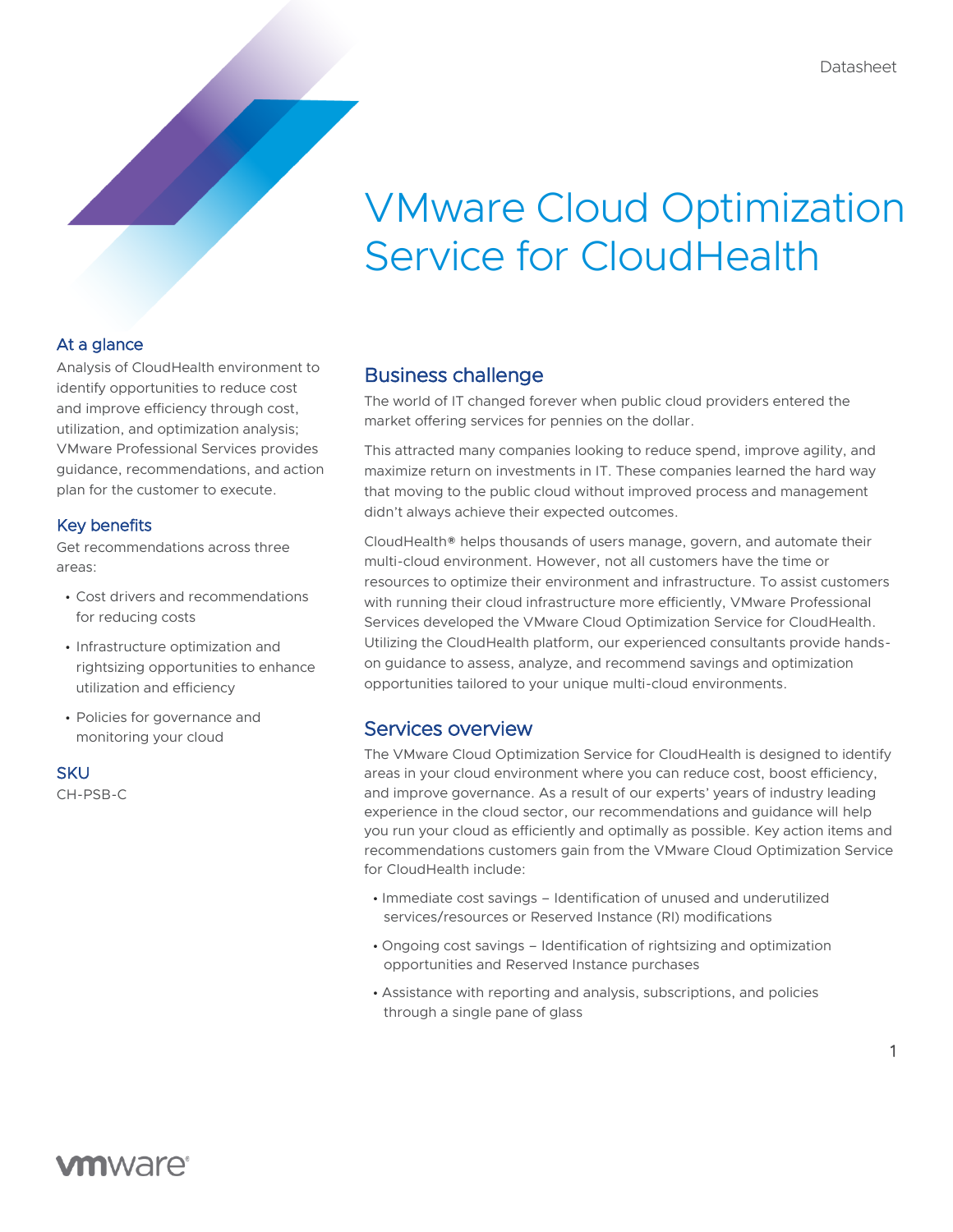# VMware Cloud Optimization Service for CloudHealth

## At a glance

Analysis of CloudHealth environment to identify opportunities to reduce cost and improve efficiency through cost, utilization, and optimization analysis; VMware Professional Services provides guidance, recommendations, and action plan for the customer to execute.

## Key benefits

Get recommendations across three areas:

- Cost drivers and recommendations for reducing costs
- Infrastructure optimization and rightsizing opportunities to enhance utilization and efficiency
- Policies for governance and monitoring your cloud

#### **SKU**

CH-PSB-C

# Business challenge

The world of IT changed forever when public cloud providers entered the market offering services for pennies on the dollar.

This attracted many companies looking to reduce spend, improve agility, and maximize return on investments in IT. These companies learned the hard way that moving to the public cloud without improved process and management didn't always achieve their expected outcomes.

CloudHealth® helps thousands of users manage, govern, and automate their multi-cloud environment. However, not all customers have the time or resources to optimize their environment and infrastructure. To assist customers with running their cloud infrastructure more efficiently, VMware Professional Services developed the VMware Cloud Optimization Service for CloudHealth. Utilizing the CloudHealth platform, our experienced consultants provide handson guidance to assess, analyze, and recommend savings and optimization opportunities tailored to your unique multi-cloud environments.

# Services overview

The VMware Cloud Optimization Service for CloudHealth is designed to identify areas in your cloud environment where you can reduce cost, boost efficiency, and improve governance. As a result of our experts' years of industry leading experience in the cloud sector, our recommendations and guidance will help you run your cloud as efficiently and optimally as possible. Key action items and recommendations customers gain from the VMware Cloud Optimization Service for CloudHealth include:

- Immediate cost savings Identification of unused and underutilized services/resources or Reserved Instance (RI) modifications
- Ongoing cost savings Identification of rightsizing and optimization opportunities and Reserved Instance purchases
- Assistance with reporting and analysis, subscriptions, and policies through a single pane of glass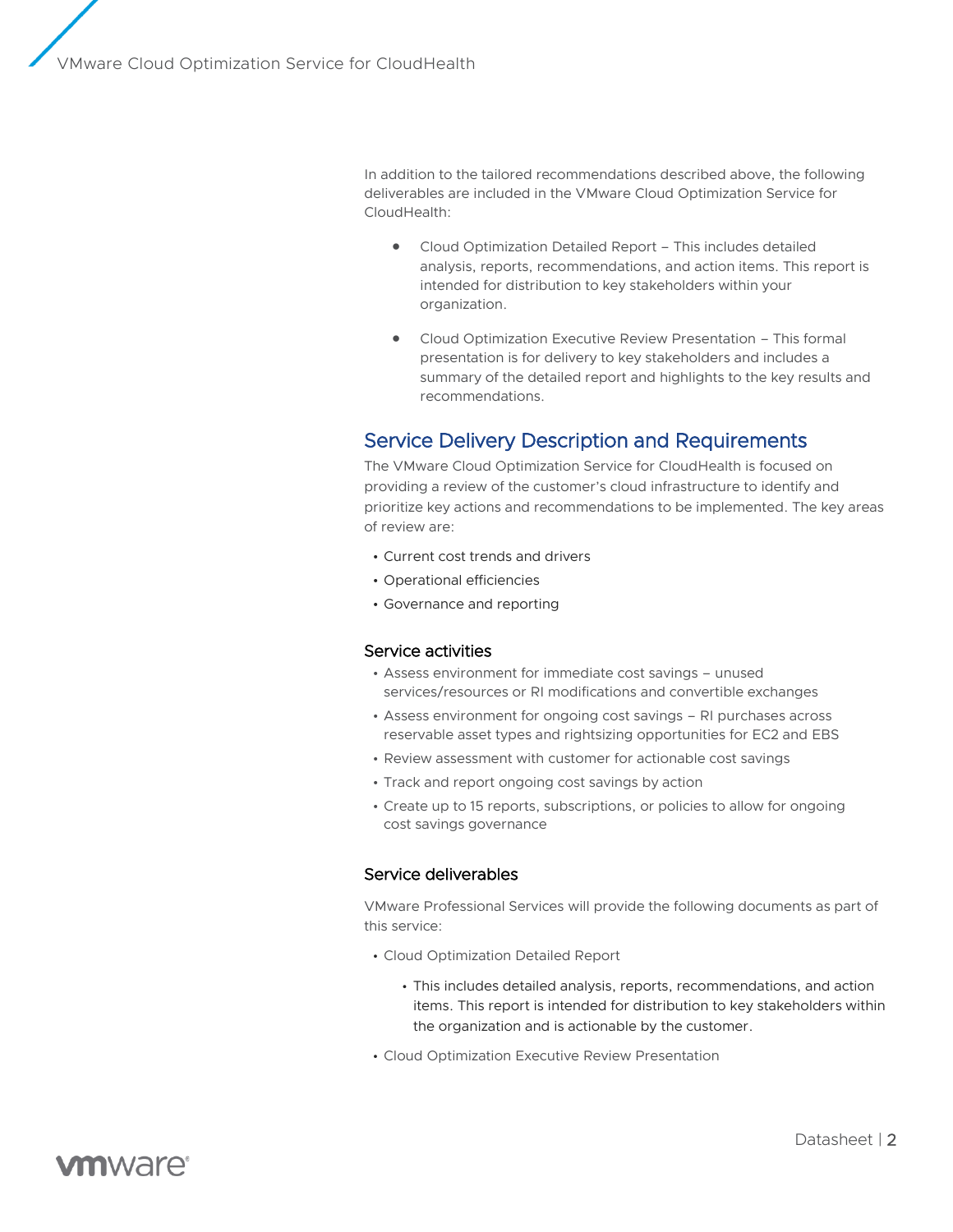In addition to the tailored recommendations described above, the following deliverables are included in the VMware Cloud Optimization Service for CloudHealth:

- Cloud Optimization Detailed Report This includes detailed analysis, reports, recommendations, and action items. This report is intended for distribution to key stakeholders within your organization.
- Cloud Optimization Executive Review Presentation This formal presentation is for delivery to key stakeholders and includes a summary of the detailed report and highlights to the key results and recommendations.

# Service Delivery Description and Requirements

The VMware Cloud Optimization Service for CloudHealth is focused on providing a review of the customer's cloud infrastructure to identify and prioritize key actions and recommendations to be implemented. The key areas of review are:

- Current cost trends and drivers
- Operational efficiencies
- Governance and reporting

#### Service activities

- Assess environment for immediate cost savings unused services/resources or RI modifications and convertible exchanges
- Assess environment for ongoing cost savings RI purchases across reservable asset types and rightsizing opportunities for EC2 and EBS
- Review assessment with customer for actionable cost savings
- Track and report ongoing cost savings by action
- Create up to 15 reports, subscriptions, or policies to allow for ongoing cost savings governance

#### Service deliverables

VMware Professional Services will provide the following documents as part of this service:

- Cloud Optimization Detailed Report
	- This includes detailed analysis, reports, recommendations, and action items. This report is intended for distribution to key stakeholders within the organization and is actionable by the customer.
- Cloud Optimization Executive Review Presentation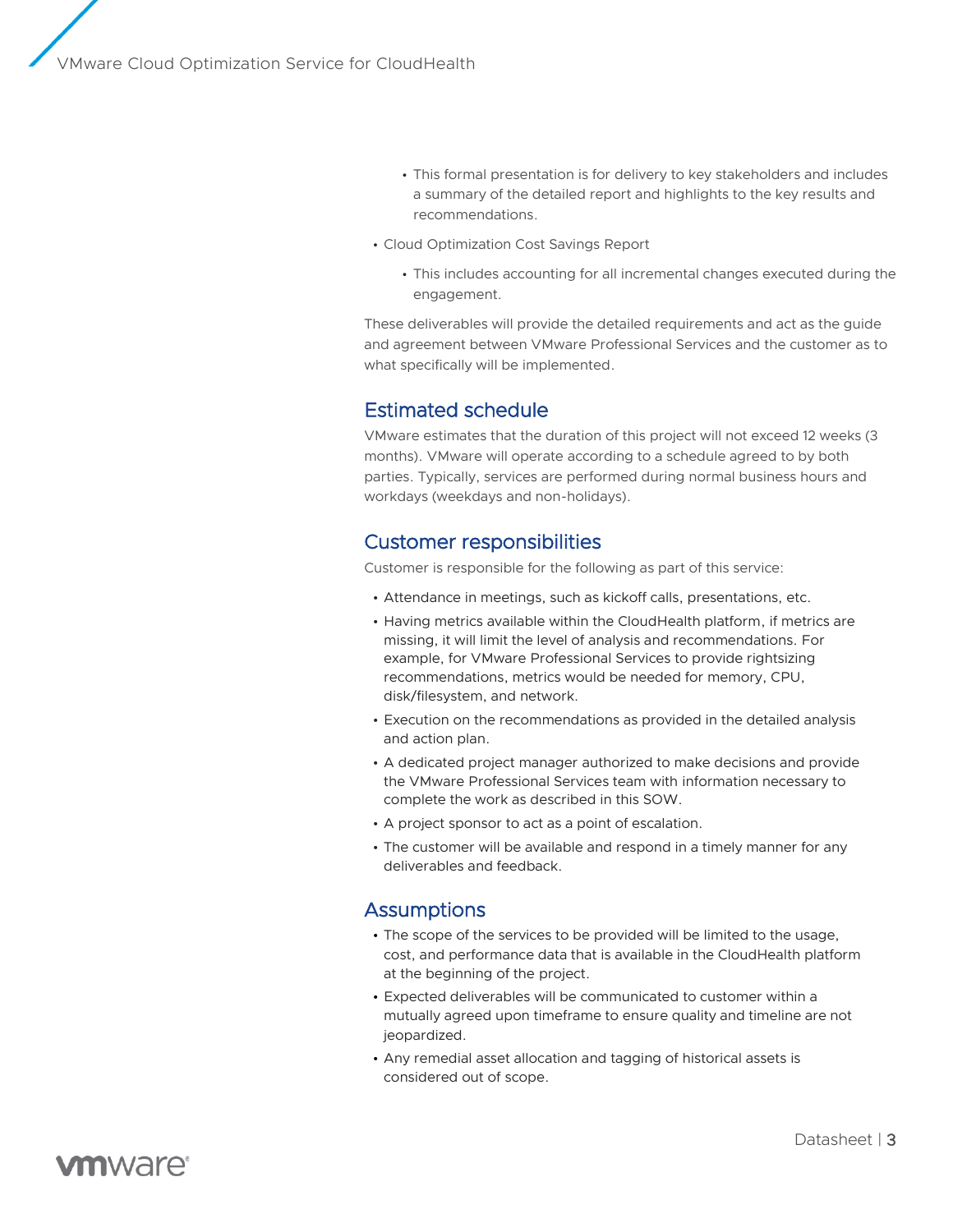- This formal presentation is for delivery to key stakeholders and includes a summary of the detailed report and highlights to the key results and recommendations.
- Cloud Optimization Cost Savings Report
	- This includes accounting for all incremental changes executed during the engagement.

These deliverables will provide the detailed requirements and act as the guide and agreement between VMware Professional Services and the customer as to what specifically will be implemented.

# Estimated schedule

VMware estimates that the duration of this project will not exceed 12 weeks (3 months). VMware will operate according to a schedule agreed to by both parties. Typically, services are performed during normal business hours and workdays (weekdays and non-holidays).

## Customer responsibilities

Customer is responsible for the following as part of this service:

- Attendance in meetings, such as kickoff calls, presentations, etc.
- Having metrics available within the CloudHealth platform, if metrics are missing, it will limit the level of analysis and recommendations. For example, for VMware Professional Services to provide rightsizing recommendations, metrics would be needed for memory, CPU, disk/filesystem, and network.
- Execution on the recommendations as provided in the detailed analysis and action plan.
- A dedicated project manager authorized to make decisions and provide the VMware Professional Services team with information necessary to complete the work as described in this SOW.
- A project sponsor to act as a point of escalation.
- The customer will be available and respond in a timely manner for any deliverables and feedback.

# **Assumptions**

- The scope of the services to be provided will be limited to the usage, cost, and performance data that is available in the CloudHealth platform at the beginning of the project.
- Expected deliverables will be communicated to customer within a mutually agreed upon timeframe to ensure quality and timeline are not jeopardized.
- Any remedial asset allocation and tagging of historical assets is considered out of scope.